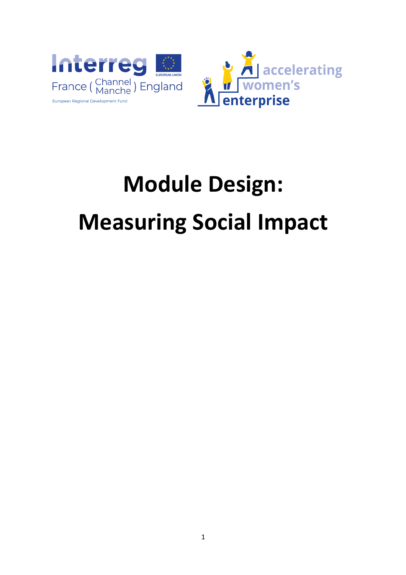

# **Module Design: Measuring Social Impact**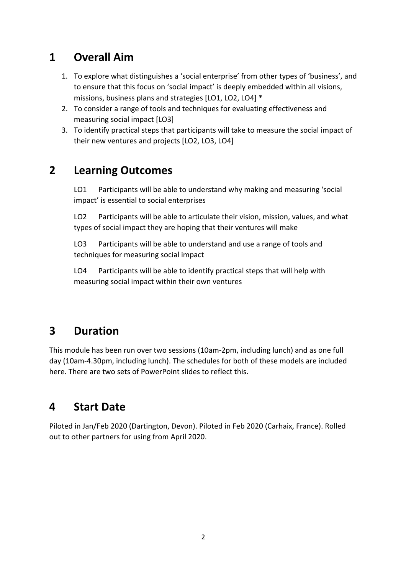## **1 Overall Aim**

- 1. To explore what distinguishes a 'social enterprise' from other types of 'business', and to ensure that this focus on 'social impact' is deeply embedded within all visions, missions, business plans and strategies [LO1, LO2, LO4] \*
- 2. To consider a range of tools and techniques for evaluating effectiveness and measuring social impact [LO3]
- 3. To identify practical steps that participants will take to measure the social impact of their new ventures and projects [LO2, LO3, LO4]

## **2 Learning Outcomes**

LO1 Participants will be able to understand why making and measuring 'social impact' is essential to social enterprises

LO2 Participants will be able to articulate their vision, mission, values, and what types of social impact they are hoping that their ventures will make

LO3 Participants will be able to understand and use a range of tools and techniques for measuring social impact

LO4 Participants will be able to identify practical steps that will help with measuring social impact within their own ventures

## **3 Duration**

This module has been run over two sessions (10am-2pm, including lunch) and as one full day (10am-4.30pm, including lunch). The schedules for both of these models are included here. There are two sets of PowerPoint slides to reflect this.

## **4 Start Date**

Piloted in Jan/Feb 2020 (Dartington, Devon). Piloted in Feb 2020 (Carhaix, France). Rolled out to other partners for using from April 2020.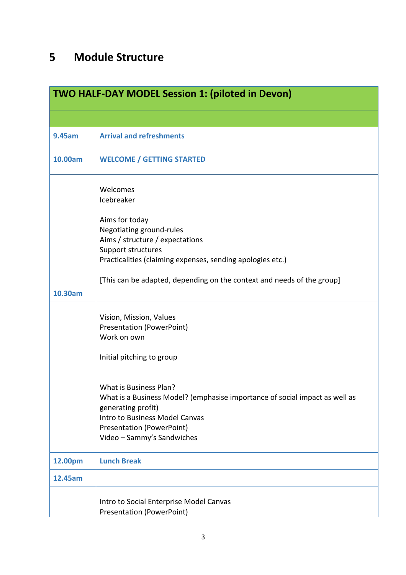## **5 Module Structure**

| <b>TWO HALF-DAY MODEL Session 1: (piloted in Devon)</b> |                                                                                                                                                                                                                                 |  |
|---------------------------------------------------------|---------------------------------------------------------------------------------------------------------------------------------------------------------------------------------------------------------------------------------|--|
|                                                         |                                                                                                                                                                                                                                 |  |
| 9.45am                                                  | <b>Arrival and refreshments</b>                                                                                                                                                                                                 |  |
| 10.00am                                                 | <b>WELCOME / GETTING STARTED</b>                                                                                                                                                                                                |  |
|                                                         | Welcomes<br>Icebreaker<br>Aims for today<br>Negotiating ground-rules<br>Aims / structure / expectations<br>Support structures<br>Practicalities (claiming expenses, sending apologies etc.)                                     |  |
|                                                         | [This can be adapted, depending on the context and needs of the group]                                                                                                                                                          |  |
| 10.30am                                                 |                                                                                                                                                                                                                                 |  |
|                                                         | Vision, Mission, Values<br><b>Presentation (PowerPoint)</b><br>Work on own<br>Initial pitching to group                                                                                                                         |  |
|                                                         | What is Business Plan?<br>What is a Business Model? (emphasise importance of social impact as well as<br>generating profit)<br>Intro to Business Model Canvas<br><b>Presentation (PowerPoint)</b><br>Video - Sammy's Sandwiches |  |
| 12.00pm                                                 | <b>Lunch Break</b>                                                                                                                                                                                                              |  |
| 12.45am                                                 |                                                                                                                                                                                                                                 |  |
|                                                         | Intro to Social Enterprise Model Canvas<br><b>Presentation (PowerPoint)</b>                                                                                                                                                     |  |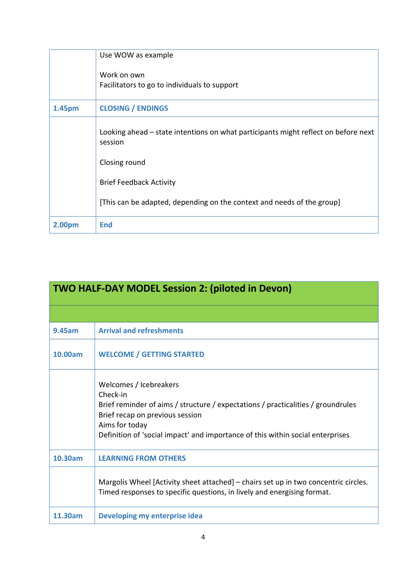|        | Use WOW as example                                                                            |
|--------|-----------------------------------------------------------------------------------------------|
|        | Work on own<br>Facilitators to go to individuals to support                                   |
| 1.45pm | <b>CLOSING / ENDINGS</b>                                                                      |
|        | Looking ahead - state intentions on what participants might reflect on before next<br>session |
|        | Closing round                                                                                 |
|        | <b>Brief Feedback Activity</b>                                                                |
|        | [This can be adapted, depending on the context and needs of the group]                        |
| 2.00pm | <b>End</b>                                                                                    |

| <b>TWO HALF-DAY MODEL Session 2: (piloted in Devon)</b> |                                                                                                                                                                                                                                                               |  |
|---------------------------------------------------------|---------------------------------------------------------------------------------------------------------------------------------------------------------------------------------------------------------------------------------------------------------------|--|
|                                                         |                                                                                                                                                                                                                                                               |  |
| <b>9.45am</b>                                           | <b>Arrival and refreshments</b>                                                                                                                                                                                                                               |  |
| 10.00am                                                 | <b>WELCOME / GETTING STARTED</b>                                                                                                                                                                                                                              |  |
|                                                         | Welcomes / Icebreakers<br>Check-in<br>Brief reminder of aims / structure / expectations / practicalities / groundrules<br>Brief recap on previous session<br>Aims for today<br>Definition of 'social impact' and importance of this within social enterprises |  |
| 10.30am                                                 | <b>LEARNING FROM OTHERS</b>                                                                                                                                                                                                                                   |  |
|                                                         | Margolis Wheel [Activity sheet attached] – chairs set up in two concentric circles.<br>Timed responses to specific questions, in lively and energising format.                                                                                                |  |
| 11.30am                                                 | Developing my enterprise idea                                                                                                                                                                                                                                 |  |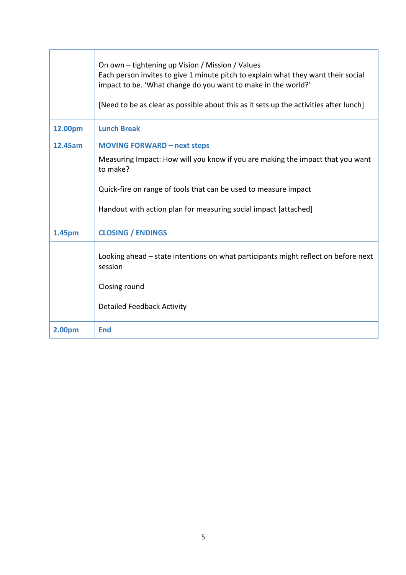|         | On own – tightening up Vision / Mission / Values<br>Each person invites to give 1 minute pitch to explain what they want their social<br>impact to be. 'What change do you want to make in the world?'<br>[Need to be as clear as possible about this as it sets up the activities after lunch] |
|---------|-------------------------------------------------------------------------------------------------------------------------------------------------------------------------------------------------------------------------------------------------------------------------------------------------|
| 12.00pm | <b>Lunch Break</b>                                                                                                                                                                                                                                                                              |
| 12.45am | <b>MOVING FORWARD - next steps</b>                                                                                                                                                                                                                                                              |
|         | Measuring Impact: How will you know if you are making the impact that you want<br>to make?                                                                                                                                                                                                      |
|         | Quick-fire on range of tools that can be used to measure impact                                                                                                                                                                                                                                 |
|         | Handout with action plan for measuring social impact [attached]                                                                                                                                                                                                                                 |
| 1.45pm  | <b>CLOSING / ENDINGS</b>                                                                                                                                                                                                                                                                        |
|         | Looking ahead – state intentions on what participants might reflect on before next<br>session                                                                                                                                                                                                   |
|         | Closing round                                                                                                                                                                                                                                                                                   |
|         | <b>Detailed Feedback Activity</b>                                                                                                                                                                                                                                                               |
| 2.00pm  | <b>End</b>                                                                                                                                                                                                                                                                                      |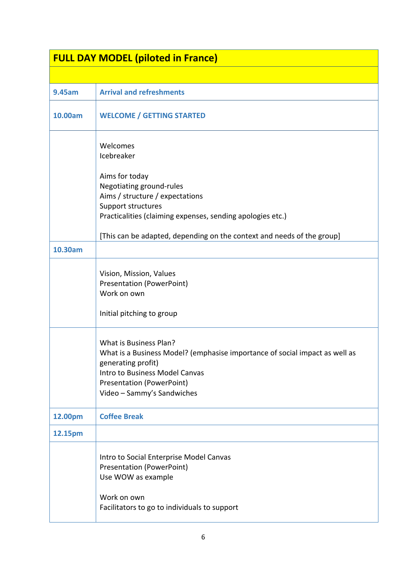| <b>FULL DAY MODEL (piloted in France)</b> |                                                                                                                                                                                                                                 |  |
|-------------------------------------------|---------------------------------------------------------------------------------------------------------------------------------------------------------------------------------------------------------------------------------|--|
|                                           |                                                                                                                                                                                                                                 |  |
| 9.45am                                    | <b>Arrival and refreshments</b>                                                                                                                                                                                                 |  |
| 10.00am                                   | <b>WELCOME / GETTING STARTED</b>                                                                                                                                                                                                |  |
|                                           | Welcomes<br>Icebreaker                                                                                                                                                                                                          |  |
|                                           | Aims for today<br>Negotiating ground-rules<br>Aims / structure / expectations<br>Support structures<br>Practicalities (claiming expenses, sending apologies etc.)                                                               |  |
|                                           | [This can be adapted, depending on the context and needs of the group]                                                                                                                                                          |  |
| 10.30am                                   |                                                                                                                                                                                                                                 |  |
|                                           | Vision, Mission, Values<br><b>Presentation (PowerPoint)</b><br>Work on own<br>Initial pitching to group                                                                                                                         |  |
|                                           | What is Business Plan?<br>What is a Business Model? (emphasise importance of social impact as well as<br>generating profit)<br>Intro to Business Model Canvas<br><b>Presentation (PowerPoint)</b><br>Video - Sammy's Sandwiches |  |
| 12.00pm                                   | <b>Coffee Break</b>                                                                                                                                                                                                             |  |
| 12.15pm                                   |                                                                                                                                                                                                                                 |  |
|                                           | Intro to Social Enterprise Model Canvas<br><b>Presentation (PowerPoint)</b><br>Use WOW as example<br>Work on own<br>Facilitators to go to individuals to support                                                                |  |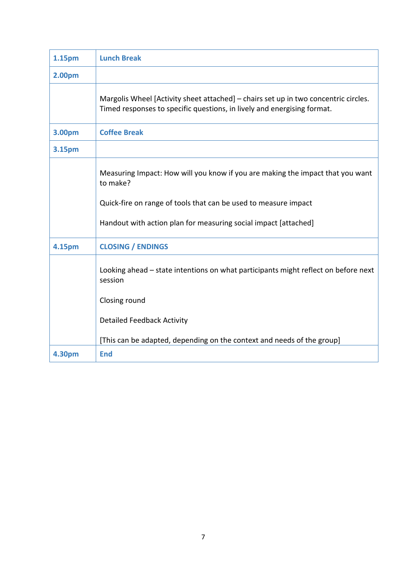| 1.15pm        | <b>Lunch Break</b>                                                                                                                                             |
|---------------|----------------------------------------------------------------------------------------------------------------------------------------------------------------|
| 2.00pm        |                                                                                                                                                                |
|               | Margolis Wheel [Activity sheet attached] – chairs set up in two concentric circles.<br>Timed responses to specific questions, in lively and energising format. |
| 3.00pm        | <b>Coffee Break</b>                                                                                                                                            |
| 3.15pm        |                                                                                                                                                                |
|               | Measuring Impact: How will you know if you are making the impact that you want<br>to make?                                                                     |
|               | Quick-fire on range of tools that can be used to measure impact                                                                                                |
|               | Handout with action plan for measuring social impact [attached]                                                                                                |
| <b>4.15pm</b> | <b>CLOSING / ENDINGS</b>                                                                                                                                       |
|               | Looking ahead – state intentions on what participants might reflect on before next<br>session                                                                  |
|               | Closing round                                                                                                                                                  |
|               | <b>Detailed Feedback Activity</b>                                                                                                                              |
|               | [This can be adapted, depending on the context and needs of the group]                                                                                         |
| <b>4.30pm</b> | <b>End</b>                                                                                                                                                     |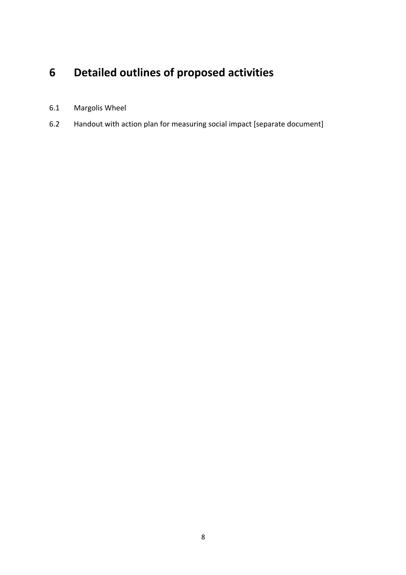## **6 Detailed outlines of proposed activities**

- 6.1 Margolis Wheel
- 6.2 Handout with action plan for measuring social impact [separate document]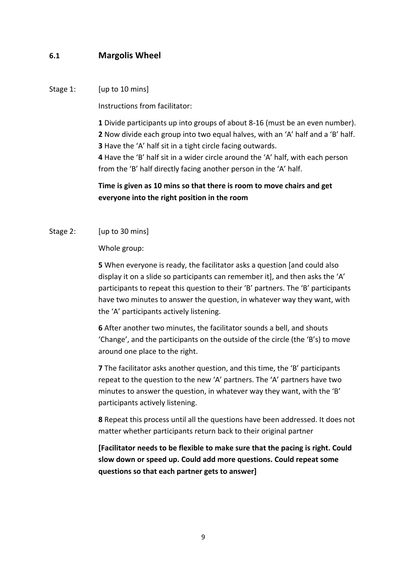#### **6.1 Margolis Wheel**

#### Stage 1: [up to 10 mins]

Instructions from facilitator:

Divide participants up into groups of about 8-16 (must be an even number). Now divide each group into two equal halves, with an 'A' half and a 'B' half. Have the 'A' half sit in a tight circle facing outwards. Have the 'B' half sit in a wider circle around the 'A' half, with each person from the 'B' half directly facing another person in the 'A' half.

#### **Time is given as 10 mins so that there is room to move chairs and get everyone into the right position in the room**

#### Stage 2: [up to 30 mins]

Whole group:

**5** When everyone is ready, the facilitator asks a question [and could also display it on a slide so participants can remember it], and then asks the 'A' participants to repeat this question to their 'B' partners. The 'B' participants have two minutes to answer the question, in whatever way they want, with the 'A' participants actively listening.

**6** After another two minutes, the facilitator sounds a bell, and shouts 'Change', and the participants on the outside of the circle (the 'B's) to move around one place to the right.

**7** The facilitator asks another question, and this time, the 'B' participants repeat to the question to the new 'A' partners. The 'A' partners have two minutes to answer the question, in whatever way they want, with the 'B' participants actively listening.

**8** Repeat this process until all the questions have been addressed. It does not matter whether participants return back to their original partner

**[Facilitator needs to be flexible to make sure that the pacing is right. Could slow down or speed up. Could add more questions. Could repeat some questions so that each partner gets to answer]**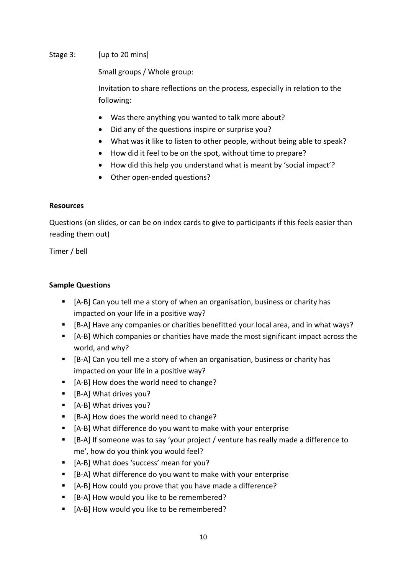#### Stage 3: [up to 20 mins]

Small groups / Whole group:

Invitation to share reflections on the process, especially in relation to the following:

- Was there anything you wanted to talk more about?
- Did any of the questions inspire or surprise you?
- What was it like to listen to other people, without being able to speak?
- How did it feel to be on the spot, without time to prepare?
- How did this help you understand what is meant by 'social impact'?
- Other open-ended questions?

#### **Resources**

Questions (on slides, or can be on index cards to give to participants if this feels easier than reading them out)

Timer / bell

#### **Sample Questions**

- [A-B] Can you tell me a story of when an organisation, business or charity has impacted on your life in a positive way?
- § [B-A] Have any companies or charities benefitted your local area, and in what ways?
- [A-B] Which companies or charities have made the most significant impact across the world, and why?
- [B-A] Can you tell me a story of when an organisation, business or charity has impacted on your life in a positive way?
- [A-B] How does the world need to change?
- [B-A] What drives you?
- [A-B] What drives you?
- [B-A] How does the world need to change?
- [A-B] What difference do you want to make with your enterprise
- [B-A] If someone was to say 'your project / venture has really made a difference to me', how do you think you would feel?
- [A-B] What does 'success' mean for you?
- [B-A] What difference do you want to make with your enterprise
- [A-B] How could you prove that you have made a difference?
- [B-A] How would you like to be remembered?
- [A-B] How would you like to be remembered?